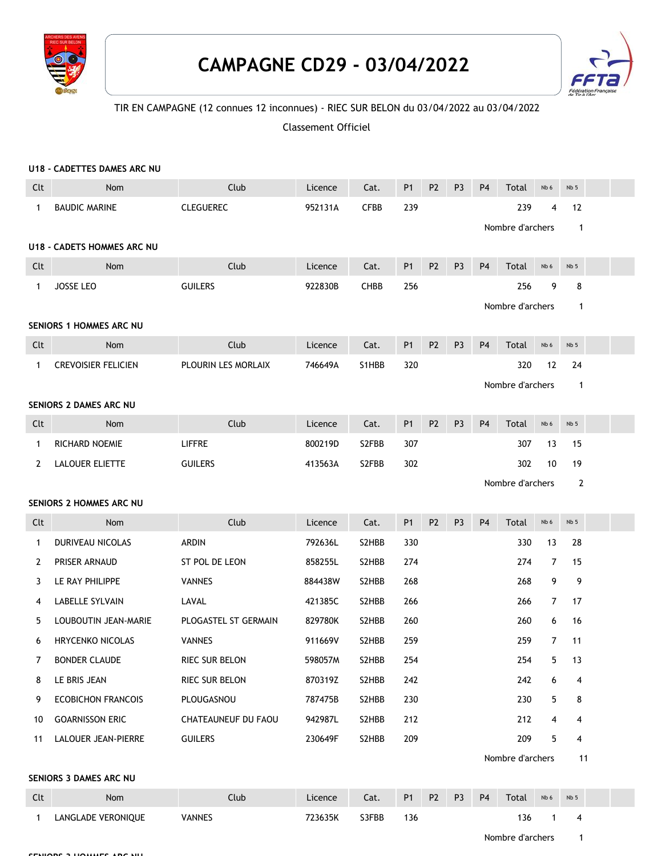

## **CAMPAGNE CD29 - 03/04/2022**



## TIR EN CAMPAGNE (12 connues 12 inconnues) - RIEC SUR BELON du 03/04/2022 au 03/04/2022

Classement Officiel

|                         | U18 - CADETTES DAMES ARC NU |                       |         |             |                |                |                |                |                  |                |                 |  |
|-------------------------|-----------------------------|-----------------------|---------|-------------|----------------|----------------|----------------|----------------|------------------|----------------|-----------------|--|
| Clt                     | Nom                         | Club                  | Licence | Cat.        | <b>P1</b>      | P <sub>2</sub> | P <sub>3</sub> | P <sub>4</sub> | Total            | Nb 6           | Nb <sub>5</sub> |  |
| $\mathbf{1}$            | <b>BAUDIC MARINE</b>        | <b>CLEGUEREC</b>      | 952131A | <b>CFBB</b> | 239            |                |                |                | 239              | $\overline{4}$ | 12              |  |
|                         |                             |                       |         |             |                |                |                |                | Nombre d'archers |                | $\mathbf{1}$    |  |
|                         | U18 - CADETS HOMMES ARC NU  |                       |         |             |                |                |                |                |                  |                |                 |  |
| Clt                     | Nom                         | Club                  | Licence | Cat.        | <b>P1</b>      | P <sub>2</sub> | P <sub>3</sub> | P <sub>4</sub> | Total            | Nb 6           | Nb <sub>5</sub> |  |
| $\mathbf{1}$            | JOSSE LEO                   | <b>GUILERS</b>        | 922830B | <b>CHBB</b> | 256            |                |                |                | 256              | 9              | 8               |  |
|                         | Nombre d'archers            |                       |         |             |                |                |                |                | $\mathbf{1}$     |                |                 |  |
| SENIORS 1 HOMMES ARC NU |                             |                       |         |             |                |                |                |                |                  |                |                 |  |
| Clt                     | Nom                         | Club                  | Licence | Cat.        | <b>P1</b>      | P <sub>2</sub> | P <sub>3</sub> | P <sub>4</sub> | Total            | Nb 6           | Nb <sub>5</sub> |  |
| $\mathbf{1}$            | <b>CREVOISIER FELICIEN</b>  | PLOURIN LES MORLAIX   | 746649A | S1HBB       | 320            |                |                |                | 320              | 12             | 24              |  |
|                         |                             |                       |         |             |                |                |                |                | Nombre d'archers |                | $\mathbf{1}$    |  |
|                         | SENIORS 2 DAMES ARC NU      |                       |         |             |                |                |                |                |                  |                |                 |  |
| Clt                     | Nom                         | Club                  | Licence | Cat.        | <b>P1</b>      | P <sub>2</sub> | P <sub>3</sub> | P <sub>4</sub> | Total            | Nb 6           | Nb <sub>5</sub> |  |
| $\mathbf{1}$            | <b>RICHARD NOEMIE</b>       | <b>LIFFRE</b>         | 800219D | S2FBB       | 307            |                |                |                | 307              | 13             | 15              |  |
| $\mathbf{2}$            | LALOUER ELIETTE             | <b>GUILERS</b>        | 413563A | S2FBB       | 302            |                |                |                | 302              | 10             | 19              |  |
|                         |                             | Nombre d'archers      |         |             |                |                |                |                |                  | $\overline{2}$ |                 |  |
|                         | SENIORS 2 HOMMES ARC NU     |                       |         |             |                |                |                |                |                  |                |                 |  |
| Clt                     | Nom                         | Club                  | Licence | Cat.        | <b>P1</b>      | P <sub>2</sub> | P <sub>3</sub> | P <sub>4</sub> | Total            | Nb 6           | Nb <sub>5</sub> |  |
| $\mathbf{1}$            | DURIVEAU NICOLAS            | ARDIN                 | 792636L | S2HBB       | 330            |                |                |                | 330              | 13             | 28              |  |
| 2                       | PRISER ARNAUD               | ST POL DE LEON        | 858255L | S2HBB       | 274            |                |                |                | 274              | $\overline{7}$ | 15              |  |
| 3                       | LE RAY PHILIPPE             | <b>VANNES</b>         | 884438W | S2HBB       | 268            |                |                |                | 268              | 9              | 9               |  |
| 4                       | LABELLE SYLVAIN             | LAVAL                 | 421385C | S2HBB       | 266            |                |                |                | 266              | $7^{\circ}$    | 17              |  |
| 5                       | LOUBOUTIN JEAN-MARIE        | PLOGASTEL ST GERMAIN  | 829780K | S2HBB       | 260            |                |                |                | 260              | 6              | 16              |  |
| 6                       | <b>HRYCENKO NICOLAS</b>     | <b>VANNES</b>         | 911669V | S2HBB       | 259            |                |                |                | 259              | $7^{\circ}$    | 11              |  |
| 7                       | <b>BONDER CLAUDE</b>        | RIEC SUR BELON        | 598057M | S2HBB       | 254            |                |                |                | 254              | 5              | 13              |  |
| 8                       | LE BRIS JEAN                | <b>RIEC SUR BELON</b> | 870319Z | S2HBB       | 242            |                |                |                | 242              | 6              | 4               |  |
| 9                       | <b>ECOBICHON FRANCOIS</b>   | PLOUGASNOU            | 787475B | S2HBB       | 230            |                |                |                | 230              | 5              | 8               |  |
| 10                      | <b>GOARNISSON ERIC</b>      | CHATEAUNEUF DU FAOU   | 942987L | S2HBB       | 212            |                |                |                | 212              | 4              | 4               |  |
| 11                      | LALOUER JEAN-PIERRE         | <b>GUILERS</b>        | 230649F | S2HBB       | 209            |                |                |                | 209              | 5              | 4               |  |
|                         |                             |                       |         |             |                |                |                |                | Nombre d'archers |                | 11              |  |
|                         | SENIORS 3 DAMES ARC NU      |                       |         |             |                |                |                |                |                  |                |                 |  |
| Clt                     | Nom                         | Club                  | Licence | Cat.        | P <sub>1</sub> | P <sub>2</sub> | P <sub>3</sub> | P <sub>4</sub> | Total            | Nb 6           | Nb <sub>5</sub> |  |
| $\mathbf{1}$            | LANGLADE VERONIQUE          | <b>VANNES</b>         | 723635K | S3FBB       | 136            |                |                |                | 136              | 1              | 4               |  |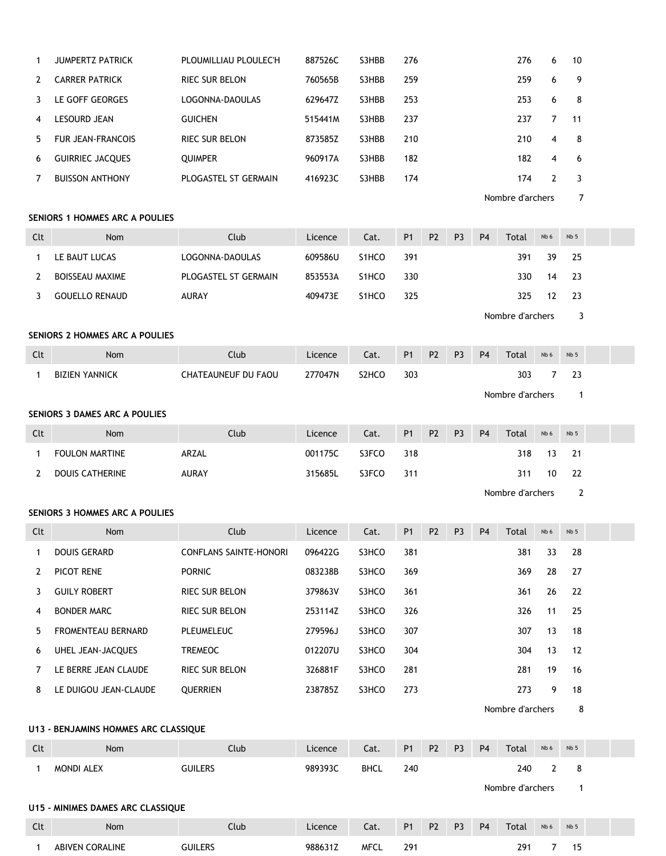| 1   | <b>JUMPERTZ PATRICK</b>              | PLOUMILLIAU PLOULEC'H         | 887526C | S3HBB              | 276       |                |                |                | 276              | 6              | 10              |  |
|-----|--------------------------------------|-------------------------------|---------|--------------------|-----------|----------------|----------------|----------------|------------------|----------------|-----------------|--|
| 2   | <b>CARRER PATRICK</b>                | RIEC SUR BELON                | 760565B | S3HBB              | 259       |                |                |                | 259              | 6              | 9               |  |
| 3   | LE GOFF GEORGES                      | LOGONNA-DAOULAS               | 629647Z | S3HBB              | 253       |                |                |                | 253              | 6              | 8               |  |
| 4   | LESOURD JEAN                         | <b>GUICHEN</b>                | 515441M | S3HBB              | 237       |                |                |                | 237              | $\overline{7}$ | 11              |  |
| 5   | <b>FUR JEAN-FRANCOIS</b>             | RIEC SUR BELON                | 873585Z | S3HBB              | 210       |                |                |                | 210              | 4              | 8               |  |
| 6   | <b>GUIRRIEC JACQUES</b>              | <b>QUIMPER</b>                | 960917A | S3HBB              | 182       |                |                |                | 182              | 4              | 6               |  |
| 7   | <b>BUISSON ANTHONY</b>               | PLOGASTEL ST GERMAIN          | 416923C | S3HBB              | 174       |                |                |                | 174              | $\overline{2}$ | 3               |  |
|     |                                      |                               |         |                    |           |                |                |                | Nombre d'archers |                | $\overline{7}$  |  |
|     | SENIORS 1 HOMMES ARC A POULIES       |                               |         |                    |           |                |                |                |                  |                |                 |  |
| Clt | Nom                                  | Club                          | Licence | Cat.               | <b>P1</b> | P <sub>2</sub> | P <sub>3</sub> | P <sub>4</sub> | Total            | Nb 6           | Nb <sub>5</sub> |  |
| 1   | LE BAUT LUCAS                        | LOGONNA-DAOULAS               | 609586U | S1HCO              | 391       |                |                |                | 391              | 39             | 25              |  |
| 2   | <b>BOISSEAU MAXIME</b>               | PLOGASTEL ST GERMAIN          | 853553A | S <sub>1</sub> HCO | 330       |                |                |                | 330              | 14             | 23              |  |
| 3   | <b>GOUELLO RENAUD</b>                | AURAY                         | 409473E | S1HCO              | 325       |                |                |                | 325              | 12             | 23              |  |
|     |                                      |                               |         |                    |           |                |                |                | Nombre d'archers |                | 3               |  |
|     | SENIORS 2 HOMMES ARC A POULIES       |                               |         |                    |           |                |                |                |                  |                |                 |  |
| Clt | Nom                                  | Club                          | Licence | Cat.               | <b>P1</b> | P <sub>2</sub> | P <sub>3</sub> | P <sub>4</sub> | Total            | Nb 6           | Nb <sub>5</sub> |  |
| 1   | <b>BIZIEN YANNICK</b>                | CHATEAUNEUF DU FAOU           | 277047N | S2HCO              | 303       |                |                |                | 303              | 7              | 23              |  |
|     |                                      |                               |         |                    |           |                |                |                | Nombre d'archers |                | $\mathbf{1}$    |  |
|     | SENIORS 3 DAMES ARC A POULIES        |                               |         |                    |           |                |                |                |                  |                |                 |  |
| Clt | Nom                                  | Club                          | Licence | Cat.               | <b>P1</b> | P <sub>2</sub> | P <sub>3</sub> | P <sub>4</sub> | Total            | Nb 6           | Nb <sub>5</sub> |  |
| 1   | <b>FOULON MARTINE</b>                | ARZAL                         | 001175C | S3FCO              | 318       |                |                |                | 318              | 13             | 21              |  |
| 2   | <b>DOUIS CATHERINE</b>               | AURAY                         | 315685L | S3FCO              | 311       |                |                |                | 311              | 10             | 22              |  |
|     |                                      |                               |         |                    |           |                |                |                | Nombre d'archers |                | $\overline{2}$  |  |
|     | SENIORS 3 HOMMES ARC A POULIES       |                               |         |                    |           |                |                |                |                  |                |                 |  |
| Clt | <b>Nom</b>                           | Club                          | Licence | Cat.               | <b>P1</b> | P <sub>2</sub> | P <sub>3</sub> | <b>P4</b>      | Total            | Nb 6           | Nb <sub>5</sub> |  |
| 1   | <b>DOUIS GERARD</b>                  | <b>CONFLANS SAINTE-HONORI</b> | 096422G | S3HCO              | 381       |                |                |                | 381              | 33             | 28              |  |
| 2   | PICOT RENE                           | <b>PORNIC</b>                 | 083238B | S3HCO              | 369       |                |                |                | 369              | 28             | 27              |  |
| 3   | <b>GUILY ROBERT</b>                  | RIEC SUR BELON                | 379863V | S3HCO              | 361       |                |                |                | 361              | 26             | 22              |  |
| 4   | <b>BONDER MARC</b>                   | RIEC SUR BELON                | 253114Z | S3HCO              | 326       |                |                |                | 326              | 11             | 25              |  |
| 5   | FROMENTEAU BERNARD                   | PLEUMELEUC                    | 279596J | S3HCO              | 307       |                |                |                | 307              | 13             | 18              |  |
| 6   | UHEL JEAN-JACQUES                    | <b>TREMEOC</b>                | 012207U | S3HCO              | 304       |                |                |                | 304              | 13             | 12              |  |
| 7   | LE BERRE JEAN CLAUDE                 | RIEC SUR BELON                | 326881F | S3HCO              | 281       |                |                |                | 281              | 19             | 16              |  |
| 8   | LE DUIGOU JEAN-CLAUDE                | <b>QUERRIEN</b>               | 238785Z | S3HCO              | 273       |                |                |                | 273              | 9              | 18              |  |
|     |                                      |                               |         |                    |           |                |                |                | Nombre d'archers |                | 8               |  |
|     | U13 - BENJAMINS HOMMES ARC CLASSIQUE |                               |         |                    |           |                |                |                |                  |                |                 |  |
| Clt | Nom                                  | Club                          | Licence | Cat.               | <b>P1</b> | P <sub>2</sub> | P <sub>3</sub> | P <sub>4</sub> | Total            | Nb 6           | Nb 5            |  |
| 1   | MONDI ALEX                           | <b>GUILERS</b>                | 989393C | <b>BHCL</b>        | 240       |                |                |                | 240              | 2              | 8               |  |
|     |                                      |                               |         |                    |           |                |                |                | Nombre d'archers |                | $\mathbf{1}$    |  |
|     | U15 - MINIMES DAMES ARC CLASSIQUE    |                               |         |                    |           |                |                |                |                  |                |                 |  |
| Clt | Nom                                  | Club                          | Licence | Cat.               | <b>P1</b> | <b>P2</b>      | P <sub>3</sub> | <b>P4</b>      | Total            | Nb 6           | Nb <sub>5</sub> |  |

1 ABIVEN CORALINE GUILERS 988631Z MFCL 291 291 7 15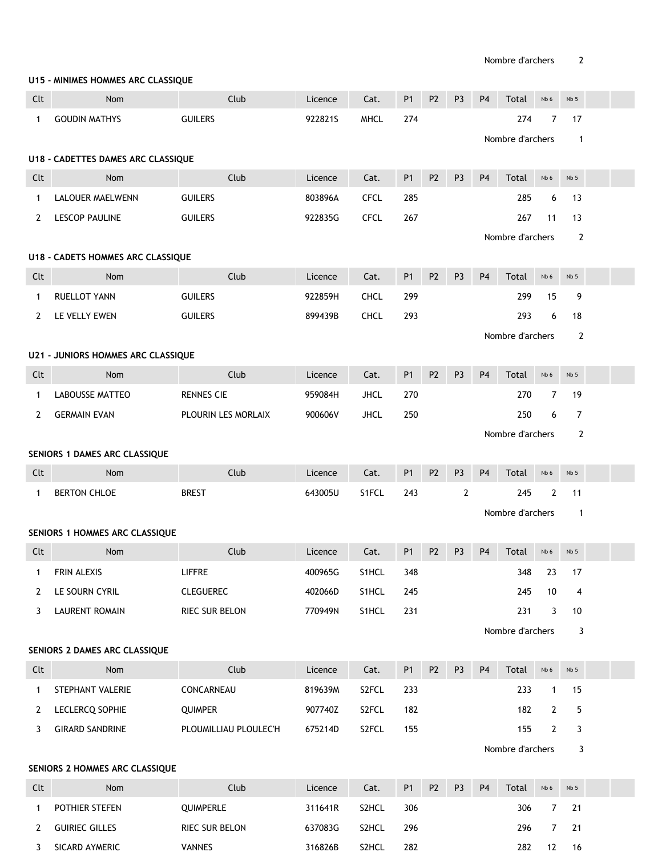## **U15 - MINIMES HOMMES ARC CLASSIQUE**

| Clt          | Nom                                       | Club                  | Licence | Cat.        | P <sub>1</sub> | P <sub>2</sub> | P <sub>3</sub> | P <sub>4</sub>   | Total            | Nb 6           | Nb <sub>5</sub> |  |
|--------------|-------------------------------------------|-----------------------|---------|-------------|----------------|----------------|----------------|------------------|------------------|----------------|-----------------|--|
| $\mathbf{1}$ | <b>GOUDIN MATHYS</b>                      | <b>GUILERS</b>        | 922821S | <b>MHCL</b> | 274            |                |                |                  | 274              | $\overline{7}$ | 17              |  |
|              |                                           |                       |         |             |                |                |                | Nombre d'archers |                  |                | $\mathbf{1}$    |  |
|              | U18 - CADETTES DAMES ARC CLASSIQUE        |                       |         |             |                |                |                |                  |                  |                |                 |  |
| Clt          | Nom                                       | Club                  | Licence | Cat.        | <b>P1</b>      | P <sub>2</sub> | P <sub>3</sub> | P <sub>4</sub>   | Total            | Nb 6           | Nb 5            |  |
| $\mathbf{1}$ | <b>LALOUER MAELWENN</b>                   | <b>GUILERS</b>        | 803896A | <b>CFCL</b> | 285            |                |                |                  | 285              | 6              | 13              |  |
| $\mathbf{2}$ | LESCOP PAULINE                            | <b>GUILERS</b>        | 922835G | <b>CFCL</b> | 267            |                |                |                  | 267              | 11             | 13              |  |
|              |                                           |                       |         |             |                |                |                |                  | Nombre d'archers |                | $\overline{2}$  |  |
|              | U18 - CADETS HOMMES ARC CLASSIQUE         |                       |         |             |                |                |                |                  |                  |                |                 |  |
| Clt          | Nom                                       | Club                  | Licence | Cat.        | <b>P1</b>      | P <sub>2</sub> | P <sub>3</sub> | P <sub>4</sub>   | Total            | Nb 6           | Nb <sub>5</sub> |  |
| 1            | RUELLOT YANN                              | <b>GUILERS</b>        | 922859H | <b>CHCL</b> | 299            |                |                |                  | 299              | 15             | 9               |  |
| $\mathbf{2}$ | LE VELLY EWEN                             | <b>GUILERS</b>        | 899439B | <b>CHCL</b> | 293            |                |                |                  | 293              | 6              | 18              |  |
|              |                                           |                       |         |             |                |                |                |                  | Nombre d'archers |                | 2               |  |
|              | <b>U21 - JUNIORS HOMMES ARC CLASSIQUE</b> |                       |         |             |                |                |                |                  |                  |                |                 |  |
| Clt          | Nom                                       | Club                  | Licence | Cat.        | <b>P1</b>      | P <sub>2</sub> | P <sub>3</sub> | P <sub>4</sub>   | Total            | Nb 6           | Nb 5            |  |
| $\mathbf{1}$ | <b>LABOUSSE MATTEO</b>                    | <b>RENNES CIE</b>     | 959084H | <b>JHCL</b> | 270            |                |                |                  | 270              | 7              | 19              |  |
| $\mathbf{2}$ | <b>GERMAIN EVAN</b>                       | PLOURIN LES MORLAIX   | 900606V | <b>JHCL</b> | 250            |                |                |                  | 250              | 6              | 7               |  |
|              |                                           |                       |         |             |                |                |                |                  | Nombre d'archers |                | 2               |  |
|              | SENIORS 1 DAMES ARC CLASSIQUE             |                       |         |             |                |                |                |                  |                  |                |                 |  |
| Clt          | Nom                                       | Club                  | Licence | Cat.        | <b>P1</b>      | P <sub>2</sub> | P <sub>3</sub> | P <sub>4</sub>   | Total            | Nb 6           | Nb <sub>5</sub> |  |
| $\mathbf{1}$ | <b>BERTON CHLOE</b>                       | <b>BREST</b>          | 643005U | S1FCL       | 243            |                | $\overline{2}$ |                  | 245              | $\overline{2}$ | 11              |  |
|              |                                           |                       |         |             |                |                |                |                  | Nombre d'archers |                | $\overline{1}$  |  |
|              | SENIORS 1 HOMMES ARC CLASSIQUE            |                       |         |             |                |                |                |                  |                  |                |                 |  |
| Clt          | <b>Nom</b>                                | Club                  | Licence | Cat.        | P <sub>1</sub> | P <sub>2</sub> | P <sub>3</sub> | P <sub>4</sub>   | Total            | Nb 6           | Nb <sub>5</sub> |  |
| $\mathbf{1}$ | FRIN ALEXIS                               | <b>LIFFRE</b>         | 400965G | S1HCL       | 348            |                |                |                  | 348              | 23             | 17              |  |
| z            | LE SOURN CYRIL                            | <b>CLEGUEREC</b>      | 402066D | S1HCL       | 245            |                |                |                  | 245              | 10             | 4               |  |
| 3            | <b>LAURENT ROMAIN</b>                     | RIEC SUR BELON        | 770949N | S1HCL       | 231            |                |                |                  | 231              | 3              | 10              |  |
|              |                                           |                       |         |             |                |                |                |                  | Nombre d'archers |                | 3               |  |
|              | SENIORS 2 DAMES ARC CLASSIQUE             |                       |         |             |                |                |                |                  |                  |                |                 |  |
| Clt          | Nom                                       | Club                  | Licence | Cat.        | <b>P1</b>      | P <sub>2</sub> | P <sub>3</sub> | P <sub>4</sub>   | Total            | Nb 6           | Nb 5            |  |
| 1            | STEPHANT VALERIE                          | CONCARNEAU            | 819639M | S2FCL       | 233            |                |                |                  | 233              | 1              | 15              |  |
| 2            | <b>LECLERCQ SOPHIE</b>                    | QUIMPER               | 907740Z | S2FCL       | 182            |                |                |                  | 182              | $\overline{2}$ | 5               |  |
| 3            | <b>GIRARD SANDRINE</b>                    | PLOUMILLIAU PLOULEC'H | 675214D | S2FCL       | 155            |                |                |                  | 155              | $\overline{2}$ | 3               |  |
|              |                                           |                       |         |             |                |                |                |                  | Nombre d'archers |                | 3               |  |
|              | SENIORS 2 HOMMES ARC CLASSIQUE            |                       |         |             |                |                |                |                  |                  |                |                 |  |
| Clt          | Nom                                       | Club                  | Licence | Cat.        | <b>P1</b>      | P <sub>2</sub> | P <sub>3</sub> | P4               | Total            | Nb 6           | Nb <sub>5</sub> |  |
| 1            | POTHIER STEFEN                            | QUIMPERLE             | 311641R | S2HCL       | 306            |                |                |                  | 306              | $\overline{7}$ | $21$            |  |
| 2            | <b>GUIRIEC GILLES</b>                     | RIEC SUR BELON        | 637083G | S2HCL       | 296            |                |                |                  | 296              | 7              | 21              |  |
| 3            | SICARD AYMERIC                            | <b>VANNES</b>         | 316826B | S2HCL       | 282            |                |                |                  | 282              |                | 12 16           |  |